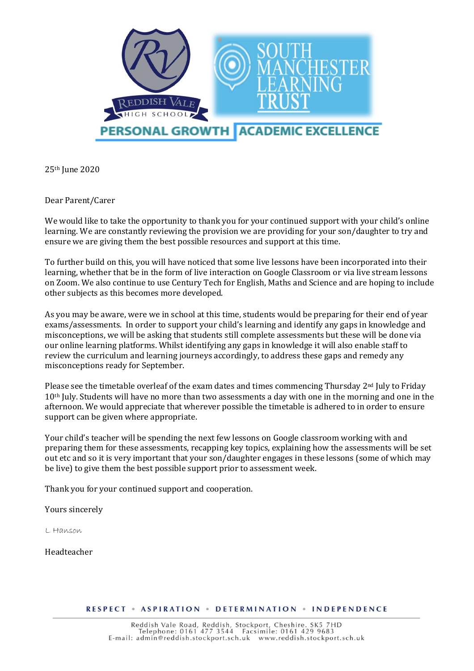

25th June 2020

Dear Parent/Carer

We would like to take the opportunity to thank you for your continued support with your child's online learning. We are constantly reviewing the provision we are providing for your son/daughter to try and ensure we are giving them the best possible resources and support at this time.

To further build on this, you will have noticed that some live lessons have been incorporated into their learning, whether that be in the form of live interaction on Google Classroom or via live stream lessons on Zoom. We also continue to use Century Tech for English, Maths and Science and are hoping to include other subjects as this becomes more developed.

As you may be aware, were we in school at this time, students would be preparing for their end of year exams/assessments. In order to support your child's learning and identify any gaps in knowledge and misconceptions, we will be asking that students still complete assessments but these will be done via our online learning platforms. Whilst identifying any gaps in knowledge it will also enable staff to review the curriculum and learning journeys accordingly, to address these gaps and remedy any misconceptions ready for September.

Please see the timetable overleaf of the exam dates and times commencing Thursday  $2<sup>nd</sup>$  July to Friday 10<sup>th</sup> July. Students will have no more than two assessments a day with one in the morning and one in the afternoon. We would appreciate that wherever possible the timetable is adhered to in order to ensure support can be given where appropriate.

Your child's teacher will be spending the next few lessons on Google classroom working with and preparing them for these assessments, recapping key topics, explaining how the assessments will be set out etc and so it is very important that your son/daughter engages in these lessons (some of which may be live) to give them the best possible support prior to assessment week.

Thank you for your continued support and cooperation.

Yours sincerely

L Hanson

Headteacher